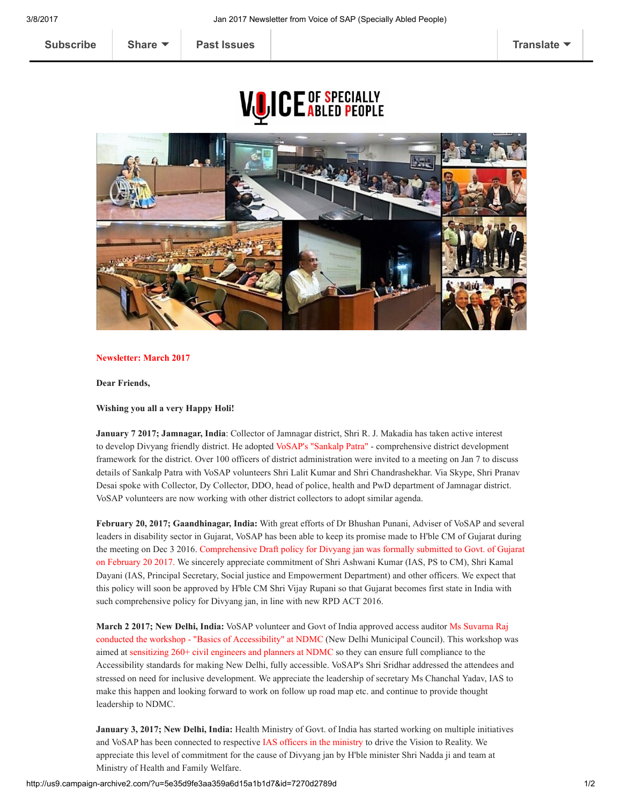## **VOICE OF SPECIALLY**



## Newsletter: March 2017

Dear Friends,

## Wishing you all a very Happy Holi!

January 7 2017; Jamnagar, India: Collector of Jamnagar district, Shri R. J. Makadia has taken active interest to develop Divyang friendly district. He adopted VoSAP's "Sankalp Patra" - comprehensive district development framework for the district. Over 100 officers of district administration were invited to a meeting on Jan 7 to discuss details of Sankalp Patra with VoSAP volunteers Shri Lalit Kumar and Shri Chandrashekhar. Via Skype, Shri Pranav Desai spoke with Collector, Dy Collector, DDO, head of police, health and PwD department of Jamnagar district. VoSAP volunteers are now working with other district collectors to adopt similar agenda.

February 20, 2017; Gaandhinagar, India: With great efforts of Dr Bhushan Punani, Adviser of VoSAP and several leaders in disability sector in Gujarat, VoSAP has been able to keep its promise made to H'ble CM of Gujarat during the meeting on Dec 3 2016. Comprehensive Draft policy for Divyang jan was formally submitted to Govt. of Gujarat on February 20 2017. We sincerely appreciate commitment of Shri Ashwani Kumar (IAS, PS to CM), Shri Kamal Dayani (IAS, Principal Secretary, Social justice and Empowerment Department) and other officers. We expect that this policy will soon be approved by H'ble CM Shri Vijay Rupani so that Gujarat becomes first state in India with such comprehensive policy for Divyang jan, in line with new RPD ACT 2016.

March 2 2017; New Delhi, India: VoSAP volunteer and Govt of India approved access auditor Ms Suvarna Raj conducted the workshop "Basics of Accessibility" at NDMC (New Delhi Municipal Council). This workshop was aimed at sensitizing 260+ civil engineers and planners at NDMC so they can ensure full compliance to the Accessibility standards for making New Delhi, fully accessible. VoSAP's Shri Sridhar addressed the attendees and stressed on need for inclusive development. We appreciate the leadership of secretary Ms Chanchal Yadav, IAS to make this happen and looking forward to work on follow up road map etc. and continue to provide thought leadership to NDMC.

January 3, 2017; New Delhi, India: Health Ministry of Govt. of India has started working on multiple initiatives and VoSAP has been connected to respective IAS officers in the ministry to drive the Vision to Reality. We appreciate this level of commitment for the cause of Divyang jan by H'ble minister Shri Nadda ji and team at Ministry of Health and Family Welfare.